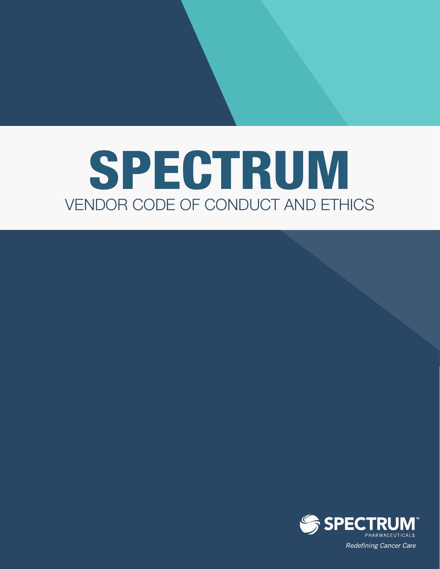# VENDOR CODE OF CONDUCT AND ETHICS SPECTRUM

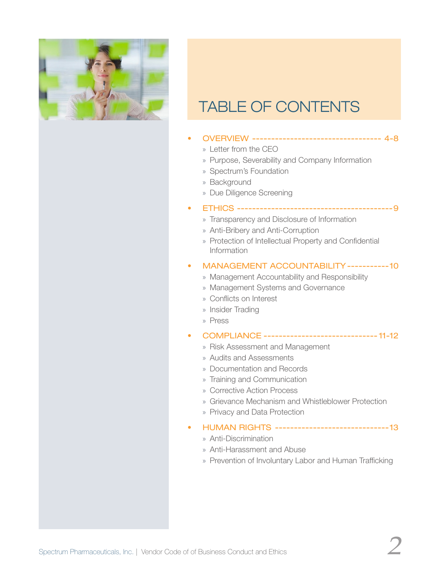

# TABLE OF CONTENTS

- OVERVIEW ---------------------------------- 4-8
	- » Letter from the CEO
	- » Purpose, Severability and Company Information
	- » Spectrum's Foundation
	- » Background
	- » Due Diligence Screening
- ETHICS -----------------------------------------9
	- » Transparency and Disclosure of Information
	- » Anti-Bribery and Anti-Corruption
	- » Protection of Intellectual Property and Confidential Information

#### • MANAGEMENT ACCOUNTABILITY ----------- 10

- » Management Accountability and Responsibility
- » Management Systems and Governance
- » Conflicts on Interest
- » Insider Trading
- » Press
- COMPLIANCE ------------------------------ 11-12
	- » Risk Assessment and Management
	- » Audits and Assessments
	- » Documentation and Records
	- » Training and Communication
	- » Corrective Action Process
	- » Grievance Mechanism and Whistleblower Protection
	- » Privacy and Data Protection
- HUMAN RIGHTS ------------------------------ 13
	- » Anti-Discrimination
	- » Anti-Harassment and Abuse
	- » Prevention of Involuntary Labor and Human Trafficking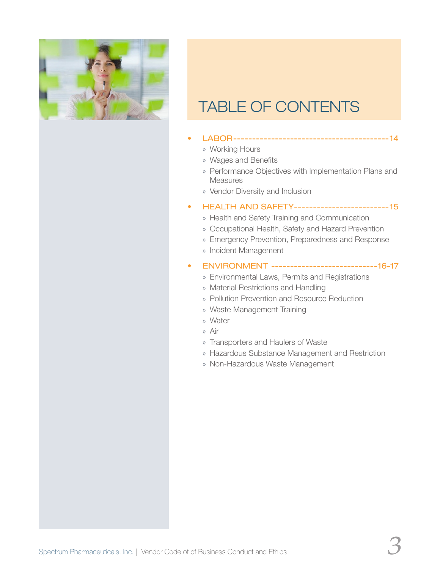

# TABLE OF CONTENTS

- LABOR----------------------------------------- 14
	- » Working Hours
	- » Wages and Benefits
	- » Performance Objectives with Implementation Plans and Measures
	- » Vendor Diversity and Inclusion

#### • HEALTH AND SAFETY------------------------- 15

- » Health and Safety Training and Communication
- » Occupational Health, Safety and Hazard Prevention
- » Emergency Prevention, Preparedness and Response
- » Incident Management
- ENVIRONMENT ----------------------------16-17
	- » Environmental Laws, Permits and Registrations
	- » Material Restrictions and Handling
	- » Pollution Prevention and Resource Reduction
	- » Waste Management Training
	- » Water
	- » Air
	- » Transporters and Haulers of Waste
	- » Hazardous Substance Management and Restriction
	- » Non-Hazardous Waste Management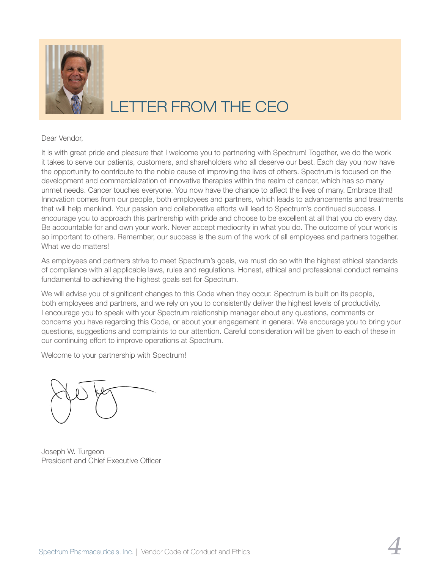

# LETTER FROM THE CEO

#### Dear Vendor,

It is with great pride and pleasure that I welcome you to partnering with Spectrum! Together, we do the work it takes to serve our patients, customers, and shareholders who all deserve our best. Each day you now have the opportunity to contribute to the noble cause of improving the lives of others. Spectrum is focused on the development and commercialization of innovative therapies within the realm of cancer, which has so many unmet needs. Cancer touches everyone. You now have the chance to affect the lives of many. Embrace that! Innovation comes from our people, both employees and partners, which leads to advancements and treatments that will help mankind. Your passion and collaborative efforts will lead to Spectrum's continued success. I encourage you to approach this partnership with pride and choose to be excellent at all that you do every day. Be accountable for and own your work. Never accept mediocrity in what you do. The outcome of your work is so important to others. Remember, our success is the sum of the work of all employees and partners together. What we do matters!

As employees and partners strive to meet Spectrum's goals, we must do so with the highest ethical standards of compliance with all applicable laws, rules and regulations. Honest, ethical and professional conduct remains fundamental to achieving the highest goals set for Spectrum.

We will advise you of significant changes to this Code when they occur. Spectrum is built on its people, both employees and partners, and we rely on you to consistently deliver the highest levels of productivity. I encourage you to speak with your Spectrum relationship manager about any questions, comments or concerns you have regarding this Code, or about your engagement in general. We encourage you to bring your questions, suggestions and complaints to our attention. Careful consideration will be given to each of these in our continuing effort to improve operations at Spectrum.

Welcome to your partnership with Spectrum!



Joseph W. Turgeon President and Chief Executive Officer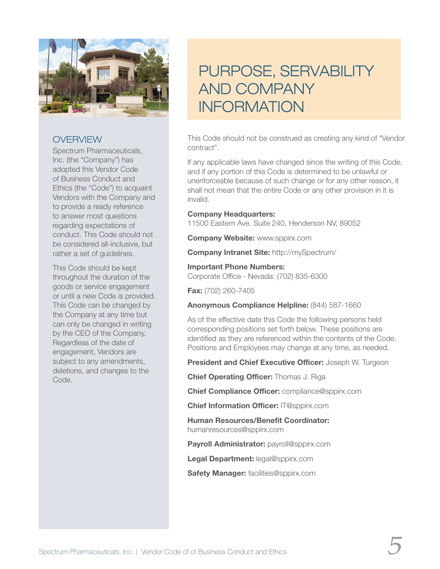

Spectrum Pharmaceuticals, Inc. (the "Company") has adopted this Vendor Code of Business Conduct and Ethics (the "Code") to acquaint Vendors with the Company and to provide a ready reference to answer most questions regarding expectations of conduct. This Code should not be considered all-inclusive, but rather a set of guidelines.

This Code should be kept throughout the duration of the goods or service engagement or until a new Code is provided. This Code can be changed by the Company at any time but can only be changed in writing by the CEO of the Company. Regardless of the date of engagement, Vendors are subject to any amendments, deletions, and changes to the Code.

# PURPOSE, SERVABILITY AND COMPANY **INFORMATION**

This Code should not be construed as creating any kind of "Vendor contract".

If any applicable laws have changed since the writing of this Code, and if any portion of this Code is determined to be unlawful or unenforceable because of such change or for any other reason, it shall not mean that the entire Code or any other provision in it is invalid.

#### **Company Headquarters:**

11500 Eastern Ave. Suite 240, Henderson NV, 89052

**Company Website:** www.sppirx.com

**Company Intranet Site:** http://mySpectrum/

#### **Important Phone Numbers:**

Corporate Office - Nevada: (702) 835-6300

**Fax:** (702) 260-7405

**Anonymous Compliance Helpline:** (844) 587-1660

As of the effective date this Code the following persons held corresponding positions set forth below. These positions are identified as they are referenced within the contents of the Code. Positions and Employees may change at any time, as needed.

**President and Chief Executive Officer:** Joseph W. Turgeon

**Chief Operating Officer:** Thomas J. Riga

**Chief Compliance Officer:** compliance@sppirx.com

**Chief Information Officer:** IT@sppirx.com

**Human Resources/Benefit Coordinator:** humanresources@sppirx.com

**Payroll Administrator:** payroll@sppirx.com

**Legal Department:** legal@sppirx.com

**Safety Manager:** facilities@sppirx.com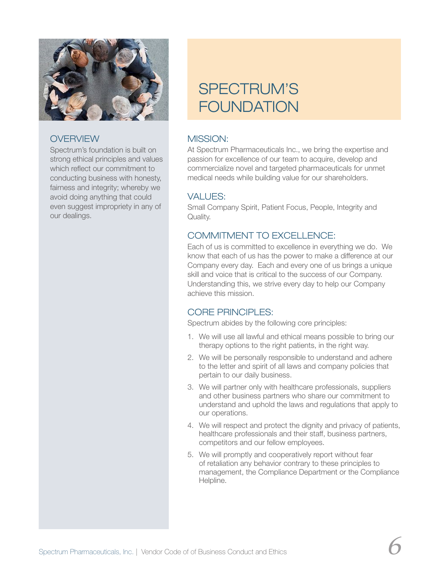

Spectrum's foundation is built on strong ethical principles and values which reflect our commitment to conducting business with honesty, fairness and integrity; whereby we avoid doing anything that could even suggest impropriety in any of our dealings.

# SPECTRUM'S FOUNDATION

# MISSION:

At Spectrum Pharmaceuticals Inc., we bring the expertise and passion for excellence of our team to acquire, develop and commercialize novel and targeted pharmaceuticals for unmet medical needs while building value for our shareholders.

# VALUES:

Small Company Spirit, Patient Focus, People, Integrity and Quality.

# COMMITMENT TO EXCELLENCE:

Each of us is committed to excellence in everything we do. We know that each of us has the power to make a difference at our Company every day. Each and every one of us brings a unique skill and voice that is critical to the success of our Company. Understanding this, we strive every day to help our Company achieve this mission.

# CORE PRINCIPLES:

Spectrum abides by the following core principles:

- 1. We will use all lawful and ethical means possible to bring our therapy options to the right patients, in the right way.
- 2. We will be personally responsible to understand and adhere to the letter and spirit of all laws and company policies that pertain to our daily business.
- 3. We will partner only with healthcare professionals, suppliers and other business partners who share our commitment to understand and uphold the laws and regulations that apply to our operations.
- 4. We will respect and protect the dignity and privacy of patients, healthcare professionals and their staff, business partners, competitors and our fellow employees.
- 5. We will promptly and cooperatively report without fear of retaliation any behavior contrary to these principles to management, the Compliance Department or the Compliance Helpline.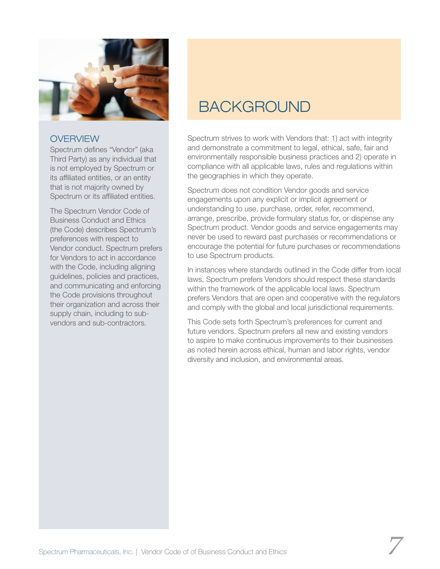

Spectrum defines "Vendor" (aka Third Party) as any individual that is not employed by Spectrum or its affiliated entities, or an entity that is not majority owned by Spectrum or its affiliated entities.

The Spectrum Vendor Code of Business Conduct and Ethics (the Code) describes Spectrum's preferences with respect to Vendor conduct. Spectrum prefers for Vendors to act in accordance with the Code, including aligning guidelines, policies and practices, and communicating and enforcing the Code provisions throughout their organization and across their supply chain, including to subvendors and sub-contractors.

# BACKGROUND

Spectrum strives to work with Vendors that: 1) act with integrity and demonstrate a commitment to legal, ethical, safe, fair and environmentally responsible business practices and 2) operate in compliance with all applicable laws, rules and regulations within the geographies in which they operate.

Spectrum does not condition Vendor goods and service engagements upon any explicit or implicit agreement or understanding to use, purchase, order, refer, recommend, arrange, prescribe, provide formulary status for, or dispense any Spectrum product. Vendor goods and service engagements may never be used to reward past purchases or recommendations or encourage the potential for future purchases or recommendations to use Spectrum products.

In instances where standards outlined in the Code differ from local laws, Spectrum prefers Vendors should respect these standards within the framework of the applicable local laws. Spectrum prefers Vendors that are open and cooperative with the regulators and comply with the global and local jurisdictional requirements.

This Code sets forth Spectrum's preferences for current and future vendors. Spectrum prefers all new and existing vendors to aspire to make continuous improvements to their businesses as noted herein across ethical, human and labor rights, vendor diversity and inclusion, and environmental areas.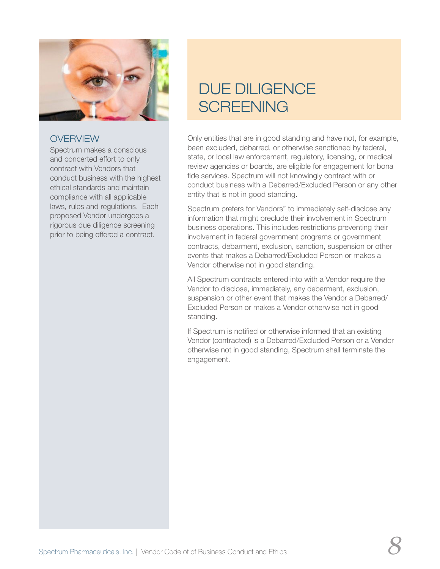

Spectrum makes a conscious and concerted effort to only contract with Vendors that conduct business with the highest ethical standards and maintain compliance with all applicable laws, rules and regulations. Each proposed Vendor undergoes a rigorous due diligence screening prior to being offered a contract.

# DUE DILIGENCE **SCREENING**

Only entities that are in good standing and have not, for example, been excluded, debarred, or otherwise sanctioned by federal, state, or local law enforcement, regulatory, licensing, or medical review agencies or boards, are eligible for engagement for bona fide services. Spectrum will not knowingly contract with or conduct business with a Debarred/Excluded Person or any other entity that is not in good standing.

Spectrum prefers for Vendors" to immediately self-disclose any information that might preclude their involvement in Spectrum business operations. This includes restrictions preventing their involvement in federal government programs or government contracts, debarment, exclusion, sanction, suspension or other events that makes a Debarred/Excluded Person or makes a Vendor otherwise not in good standing.

All Spectrum contracts entered into with a Vendor require the Vendor to disclose, immediately, any debarment, exclusion, suspension or other event that makes the Vendor a Debarred/ Excluded Person or makes a Vendor otherwise not in good standing.

If Spectrum is notified or otherwise informed that an existing Vendor (contracted) is a Debarred/Excluded Person or a Vendor otherwise not in good standing, Spectrum shall terminate the engagement.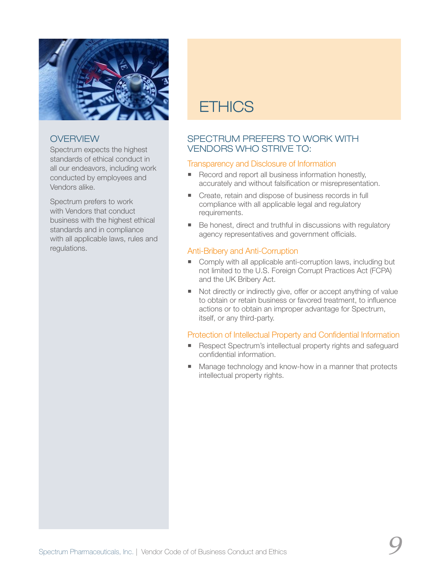

Spectrum expects the highest standards of ethical conduct in all our endeavors, including work conducted by employees and Vendors alike.

Spectrum prefers to work with Vendors that conduct business with the highest ethical standards and in compliance with all applicable laws, rules and regulations.

# **FTHICS**

# SPECTRUM PREFERS TO WORK WITH VENDORS WHO STRIVE TO:

### Transparency and Disclosure of Information

- Record and report all business information honestly, accurately and without falsification or misrepresentation.
- Create, retain and dispose of business records in full compliance with all applicable legal and regulatory requirements.
- Be honest, direct and truthful in discussions with regulatory agency representatives and government officials.

#### Anti-Bribery and Anti-Corruption

- Comply with all applicable anti-corruption laws, including but not limited to the U.S. Foreign Corrupt Practices Act (FCPA) and the UK Bribery Act.
- Not directly or indirectly give, offer or accept anything of value to obtain or retain business or favored treatment, to influence actions or to obtain an improper advantage for Spectrum, itself, or any third-party.

### Protection of Intellectual Property and Confidential Information

- Respect Spectrum's intellectual property rights and safeguard confidential information.
- Manage technology and know-how in a manner that protects intellectual property rights.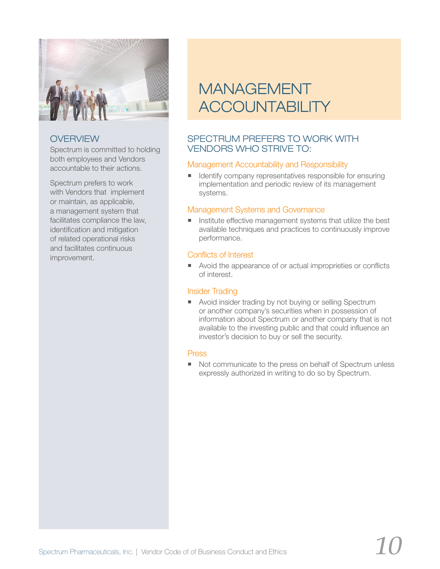

Spectrum is committed to holding both employees and Vendors accountable to their actions.

Spectrum prefers to work with Vendors that implement or maintain, as applicable, a management system that facilitates compliance the law, identification and mitigation of related operational risks and facilitates continuous improvement.

# MANAGEMENT **ACCOUNTABILITY**

# SPECTRUM PREFERS TO WORK WITH VENDORS WHO STRIVE TO:

### Management Accountability and Responsibility

I Identify company representatives responsible for ensuring implementation and periodic review of its management systems.

### Management Systems and Governance

Institute effective management systems that utilize the best available techniques and practices to continuously improve performance.

# Conflicts of Interest

■ Avoid the appearance of or actual improprieties or conflicts of interest.

#### Insider Trading

**Avoid insider trading by not buying or selling Spectrum** or another company's securities when in possession of information about Spectrum or another company that is not available to the investing public and that could influence an investor's decision to buy or sell the security.

#### Press

Not communicate to the press on behalf of Spectrum unless expressly authorized in writing to do so by Spectrum.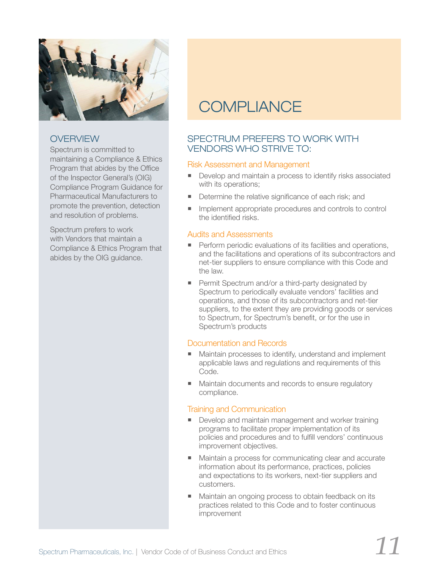

Spectrum is committed to maintaining a Compliance & Ethics Program that abides by the Office of the Inspector General's (OIG) Compliance Program Guidance for Pharmaceutical Manufacturers to promote the prevention, detection and resolution of problems.

Spectrum prefers to work with Vendors that maintain a Compliance & Ethics Program that abides by the OIG guidance.

# **COMPLIANCE**

# SPECTRUM PREFERS TO WORK WITH VENDORS WHO STRIVE TO:

### Risk Assessment and Management

- Develop and maintain a process to identify risks associated with its operations;
- Determine the relative significance of each risk; and
- **IDED** Implement appropriate procedures and controls to control the identified risks.

#### Audits and Assessments

- **Perform periodic evaluations of its facilities and operations,** and the facilitations and operations of its subcontractors and net-tier suppliers to ensure compliance with this Code and the law.
- **Permit Spectrum and/or a third-party designated by** Spectrum to periodically evaluate vendors' facilities and operations, and those of its subcontractors and net-tier suppliers, to the extent they are providing goods or services to Spectrum, for Spectrum's benefit, or for the use in Spectrum's products

#### Documentation and Records

- Maintain processes to identify, understand and implement applicable laws and regulations and requirements of this Code.
- **Maintain documents and records to ensure regulatory** compliance.

### Training and Communication

- Develop and maintain management and worker training programs to facilitate proper implementation of its policies and procedures and to fulfill vendors' continuous improvement objectives.
- **Maintain a process for communicating clear and accurate** information about its performance, practices, policies and expectations to its workers, next-tier suppliers and customers.
- Maintain an ongoing process to obtain feedback on its practices related to this Code and to foster continuous improvement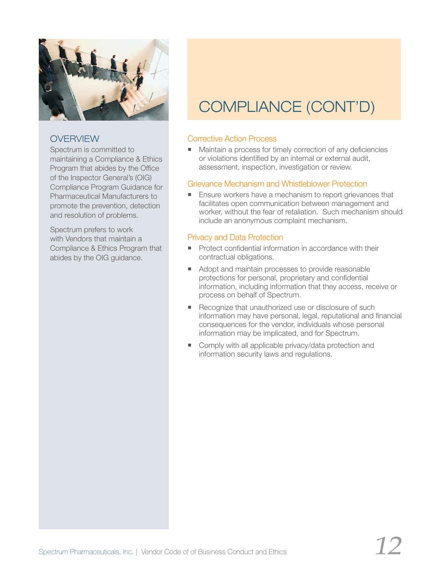

Spectrum is committed to maintaining a Compliance & Ethics Program that abides by the Office of the Inspector General's (OIG) Compliance Program Guidance for Pharmaceutical Manufacturers to promote the prevention, detection and resolution of problems.

Spectrum prefers to work with Vendors that maintain a Compliance & Ethics Program that abides by the OIG guidance.

# COMPLIANCE (CONT'D)

# Corrective Action Process

■ Maintain a process for timely correction of any deficiencies or violations identified by an internal or external audit, assessment, inspection, investigation or review.

### Grievance Mechanism and Whistleblower Protection

**Ensure workers have a mechanism to report grievances that** facilitates open communication between management and worker, without the fear of retaliation. Such mechanism should include an anonymous complaint mechanism.

# Privacy and Data Protection

- **Protect confidential information in accordance with their** contractual obligations.
- Adopt and maintain processes to provide reasonable protections for personal, proprietary and confidential information, including information that they access, receive or process on behalf of Spectrum.
- Recognize that unauthorized use or disclosure of such information may have personal, legal, reputational and financial consequences for the vendor, individuals whose personal information may be implicated, and for Spectrum.
- **Comply with all applicable privacy/data protection and** information security laws and regulations.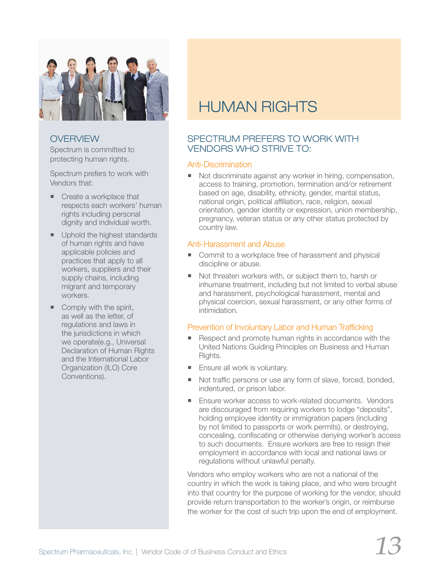

Spectrum is committed to protecting human rights.

Spectrum prefers to work with Vendors that:

- Create a workplace that respects each workers' human rights including personal dignity and individual worth.
- Uphold the highest standards of human rights and have applicable policies and practices that apply to all workers, suppliers and their supply chains, including migrant and temporary workers.
- $\blacksquare$  Comply with the spirit, as well as the letter, of regulations and laws in the jurisdictions in which we operate(e.g., Universal Declaration of Human Rights and the International Labor Organization (ILO) Core Conventions).

# HUMAN RIGHTS

# SPECTRUM PREFERS TO WORK WITH VENDORS WHO STRIVE TO:

#### Anti-Discrimination

Not discriminate against any worker in hiring, compensation, access to training, promotion, termination and/or retirement based on age, disability, ethnicity, gender, marital status, national origin, political affiliation, race, religion, sexual orientation, gender identity or expression, union membership, pregnancy, veteran status or any other status protected by country law.

#### Anti-Harassment and Abuse

- Commit to a workplace free of harassment and physical discipline or abuse.
- Not threaten workers with, or subject them to, harsh or inhumane treatment, including but not limited to verbal abuse and harassment, psychological harassment, mental and physical coercion, sexual harassment, or any other forms of intimidation.

### Prevention of Involuntary Labor and Human Trafficking

- Respect and promote human rights in accordance with the United Nations Guiding Principles on Business and Human Rights.
- **Ensure all work is voluntary.**
- Not traffic persons or use any form of slave, forced, bonded, indentured, or prison labor.
- **Ensure worker access to work-related documents. Vendors** are discouraged from requiring workers to lodge "deposits", holding employee identity or immigration papers (including by not limited to passports or work permits), or destroying, concealing, confiscating or otherwise denying worker's access to such documents. Ensure workers are free to resign their employment in accordance with local and national laws or regulations without unlawful penalty.

Vendors who employ workers who are not a national of the country in which the work is taking place, and who were brought into that country for the purpose of working for the vendor, should provide return transportation to the worker's origin, or reimburse the worker for the cost of such trip upon the end of employment.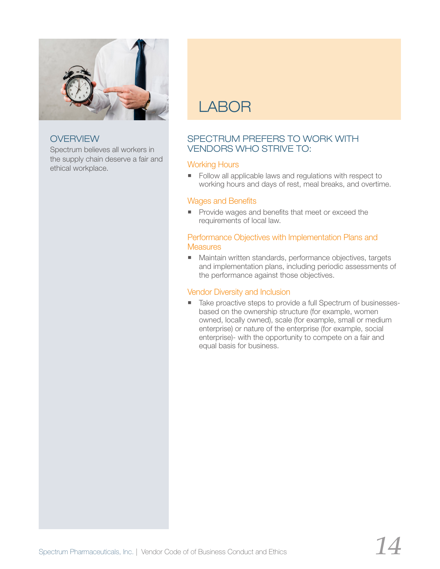

Spectrum believes all workers in the supply chain deserve a fair and ethical workplace.

# LABOR

# SPECTRUM PREFERS TO WORK WITH VENDORS WHO STRIVE TO:

# Working Hours

Follow all applicable laws and regulations with respect to working hours and days of rest, meal breaks, and overtime.

#### Wages and Benefits

**Provide wages and benefits that meet or exceed the** requirements of local law.

#### Performance Objectives with Implementation Plans and **Measures**

■ Maintain written standards, performance objectives, targets and implementation plans, including periodic assessments of the performance against those objectives.

### Vendor Diversity and Inclusion

Take proactive steps to provide a full Spectrum of businessesbased on the ownership structure (for example, women owned, locally owned), scale (for example, small or medium enterprise) or nature of the enterprise (for example, social enterprise)- with the opportunity to compete on a fair and equal basis for business.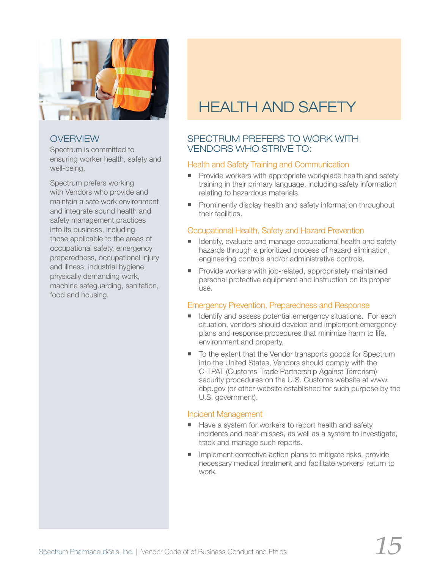

Spectrum is committed to ensuring worker health, safety and well-being.

Spectrum prefers working with Vendors who provide and maintain a safe work environment and integrate sound health and safety management practices into its business, including those applicable to the areas of occupational safety, emergency preparedness, occupational injury and illness, industrial hygiene, physically demanding work, machine safeguarding, sanitation, food and housing.

# HEALTH AND SAFETY

# SPECTRUM PREFERS TO WORK WITH VENDORS WHO STRIVE TO:

### Health and Safety Training and Communication

- **Provide workers with appropriate workplace health and safety** training in their primary language, including safety information relating to hazardous materials.
- **Prominently display health and safety information throughout** their facilities.

### Occupational Health, Safety and Hazard Prevention

- Identify, evaluate and manage occupational health and safety hazards through a prioritized process of hazard elimination, engineering controls and/or administrative controls.
- Provide workers with job-related, appropriately maintained personal protective equipment and instruction on its proper use.

### Emergency Prevention, Preparedness and Response

- **If** Identify and assess potential emergency situations. For each situation, vendors should develop and implement emergency plans and response procedures that minimize harm to life, environment and property.
- To the extent that the Vendor transports goods for Spectrum into the United States, Vendors should comply with the C-TPAT (Customs-Trade Partnership Against Terrorism) security procedures on the U.S. Customs website at www. cbp.gov (or other website established for such purpose by the U.S. government).

#### Incident Management

- Have a system for workers to report health and safety incidents and near-misses, as well as a system to investigate, track and manage such reports.
- **Implement corrective action plans to mitigate risks, provide** necessary medical treatment and facilitate workers' return to work.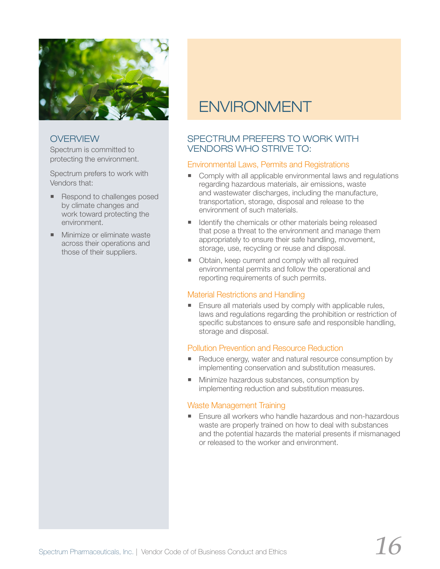

Spectrum is committed to protecting the environment.

Spectrum prefers to work with Vendors that:

- Respond to challenges posed by climate changes and work toward protecting the environment.
- **Minimize or eliminate waste** across their operations and those of their suppliers.

# ENVIRONMENT

# SPECTRUM PREFERS TO WORK WITH VENDORS WHO STRIVE TO:

### Environmental Laws, Permits and Registrations

- Comply with all applicable environmental laws and regulations regarding hazardous materials, air emissions, waste and wastewater discharges, including the manufacture, transportation, storage, disposal and release to the environment of such materials.
- I Identify the chemicals or other materials being released that pose a threat to the environment and manage them appropriately to ensure their safe handling, movement, storage, use, recycling or reuse and disposal.
- Obtain, keep current and comply with all required environmental permits and follow the operational and reporting requirements of such permits.

#### Material Restrictions and Handling

 Ensure all materials used by comply with applicable rules, laws and regulations regarding the prohibition or restriction of specific substances to ensure safe and responsible handling, storage and disposal.

### Pollution Prevention and Resource Reduction

- Reduce energy, water and natural resource consumption by implementing conservation and substitution measures.
- **Minimize hazardous substances, consumption by** implementing reduction and substitution measures.

### Waste Management Training

**Ensure all workers who handle hazardous and non-hazardous** waste are properly trained on how to deal with substances and the potential hazards the material presents if mismanaged or released to the worker and environment.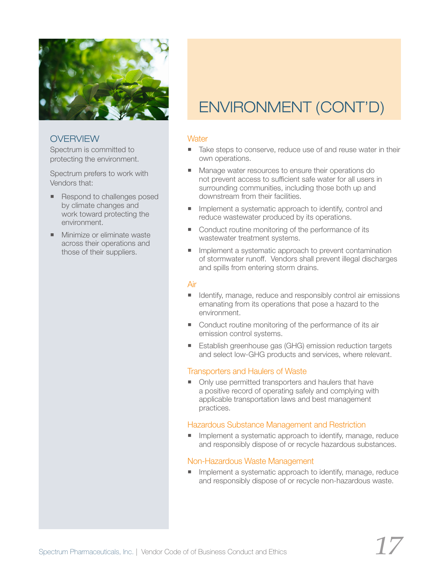

Spectrum is committed to protecting the environment.

Spectrum prefers to work with Vendors that:

- Respond to challenges posed by climate changes and work toward protecting the environment.
- **Minimize or eliminate waste** across their operations and those of their suppliers.

# ENVIRONMENT (CONT'D)

### **Water**

- Take steps to conserve, reduce use of and reuse water in their own operations.
- Manage water resources to ensure their operations do not prevent access to sufficient safe water for all users in surrounding communities, including those both up and downstream from their facilities.
- **Implement a systematic approach to identify, control and** reduce wastewater produced by its operations.
- Conduct routine monitoring of the performance of its wastewater treatment systems.
- **Inplement a systematic approach to prevent contamination** of stormwater runoff. Vendors shall prevent illegal discharges and spills from entering storm drains.

#### Air

- Identify, manage, reduce and responsibly control air emissions emanating from its operations that pose a hazard to the environment.
- Conduct routine monitoring of the performance of its air emission control systems.
- **Establish greenhouse gas (GHG) emission reduction targets** and select low-GHG products and services, where relevant.

### Transporters and Haulers of Waste

■ Only use permitted transporters and haulers that have a positive record of operating safely and complying with applicable transportation laws and best management practices.

#### Hazardous Substance Management and Restriction

**Implement a systematic approach to identify, manage, reduce** and responsibly dispose of or recycle hazardous substances.

#### Non-Hazardous Waste Management

**Inplement a systematic approach to identify, manage, reduce** and responsibly dispose of or recycle non-hazardous waste.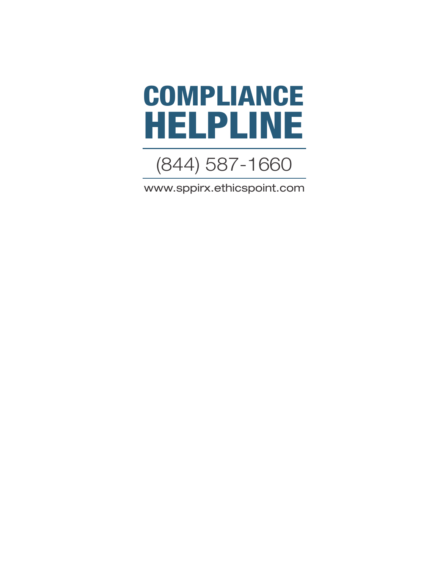



www.sppirx.ethicspoint.com